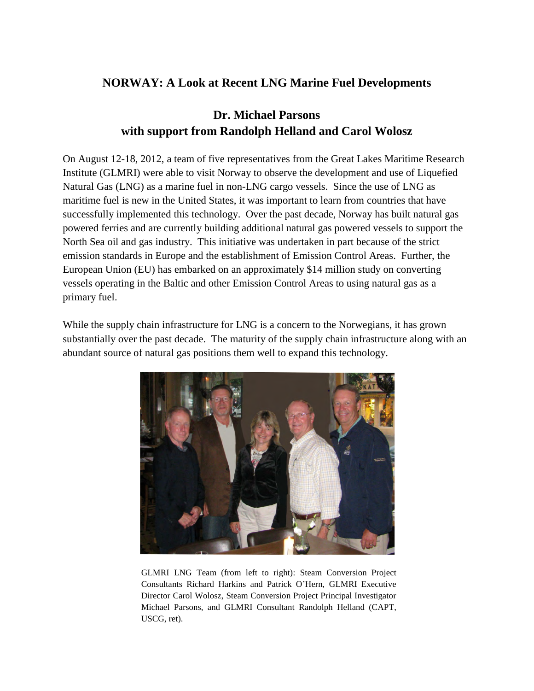## **NORWAY: A Look at Recent LNG Marine Fuel Developments**

## **Dr. Michael Parsons with support from Randolph Helland and Carol Wolosz**

On August 12-18, 2012, a team of five representatives from the Great Lakes Maritime Research Institute (GLMRI) were able to visit Norway to observe the development and use of Liquefied Natural Gas (LNG) as a marine fuel in non-LNG cargo vessels. Since the use of LNG as maritime fuel is new in the United States, it was important to learn from countries that have successfully implemented this technology. Over the past decade, Norway has built natural gas powered ferries and are currently building additional natural gas powered vessels to support the North Sea oil and gas industry. This initiative was undertaken in part because of the strict emission standards in Europe and the establishment of Emission Control Areas. Further, the European Union (EU) has embarked on an approximately \$14 million study on converting vessels operating in the Baltic and other Emission Control Areas to using natural gas as a primary fuel.

While the supply chain infrastructure for LNG is a concern to the Norwegians, it has grown substantially over the past decade. The maturity of the supply chain infrastructure along with an abundant source of natural gas positions them well to expand this technology.



GLMRI LNG Team (from left to right): Steam Conversion Project Consultants Richard Harkins and Patrick O'Hern, GLMRI Executive Director Carol Wolosz, Steam Conversion Project Principal Investigator Michael Parsons, and GLMRI Consultant Randolph Helland (CAPT, USCG, ret).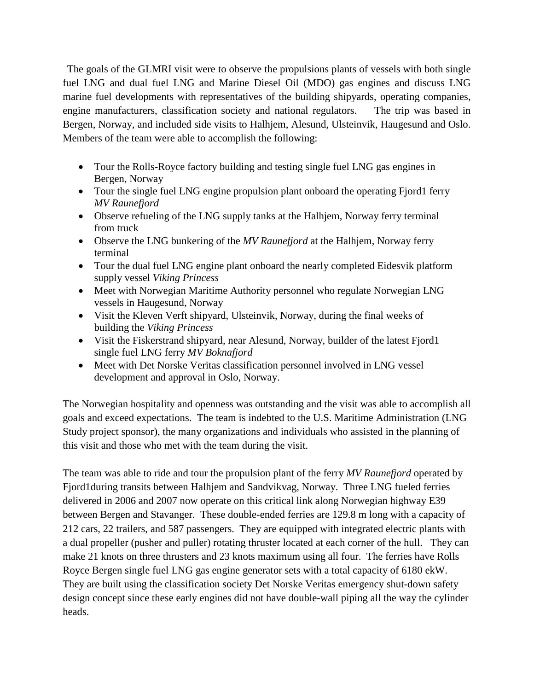The goals of the GLMRI visit were to observe the propulsions plants of vessels with both single fuel LNG and dual fuel LNG and Marine Diesel Oil (MDO) gas engines and discuss LNG marine fuel developments with representatives of the building shipyards, operating companies, engine manufacturers, classification society and national regulators. The trip was based in Bergen, Norway, and included side visits to Halhjem, Alesund, Ulsteinvik, Haugesund and Oslo. Members of the team were able to accomplish the following:

- Tour the Rolls-Royce factory building and testing single fuel LNG gas engines in Bergen, Norway
- Tour the single fuel LNG engine propulsion plant onboard the operating Fjord1 ferry *MV Raunefjord*
- Observe refueling of the LNG supply tanks at the Halhjem, Norway ferry terminal from truck
- Observe the LNG bunkering of the *MV Raunefjord* at the Halhjem, Norway ferry terminal
- Tour the dual fuel LNG engine plant onboard the nearly completed Eidesvik platform supply vessel *Viking Princess*
- Meet with Norwegian Maritime Authority personnel who regulate Norwegian LNG vessels in Haugesund, Norway
- Visit the Kleven Verft shipyard, Ulsteinvik, Norway, during the final weeks of building the *Viking Princess*
- Visit the Fiskerstrand shipyard, near Alesund, Norway, builder of the latest Fjord1 single fuel LNG ferry *MV Boknafjord*
- Meet with Det Norske Veritas classification personnel involved in LNG vessel development and approval in Oslo, Norway.

The Norwegian hospitality and openness was outstanding and the visit was able to accomplish all goals and exceed expectations. The team is indebted to the U.S. Maritime Administration (LNG Study project sponsor), the many organizations and individuals who assisted in the planning of this visit and those who met with the team during the visit.

The team was able to ride and tour the propulsion plant of the ferry *MV Raunefjord* operated by Fjord1during transits between Halhjem and Sandvikvag, Norway. Three LNG fueled ferries delivered in 2006 and 2007 now operate on this critical link along Norwegian highway E39 between Bergen and Stavanger. These double-ended ferries are 129.8 m long with a capacity of 212 cars, 22 trailers, and 587 passengers. They are equipped with integrated electric plants with a dual propeller (pusher and puller) rotating thruster located at each corner of the hull. They can make 21 knots on three thrusters and 23 knots maximum using all four. The ferries have Rolls Royce Bergen single fuel LNG gas engine generator sets with a total capacity of 6180 ekW. They are built using the classification society Det Norske Veritas emergency shut-down safety design concept since these early engines did not have double-wall piping all the way the cylinder heads.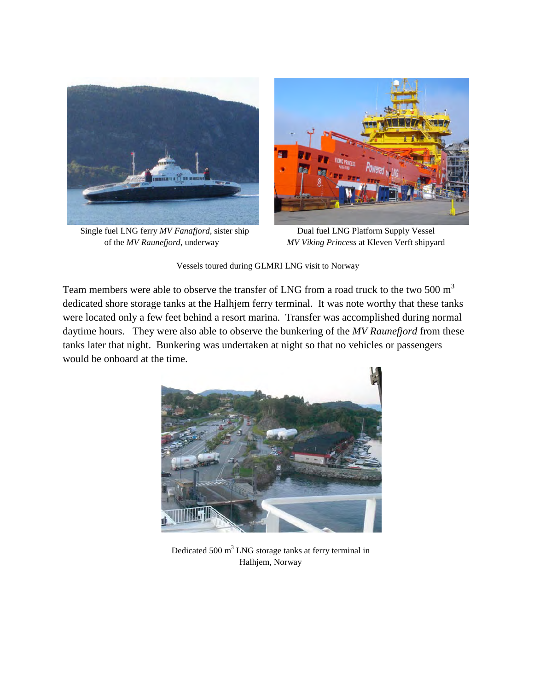

Single fuel LNG ferry *MV Fanafjord*, sister ship Dual fuel LNG Platform Supply Vessel



of the *MV Raunefjord*, underway *MV Viking Princess* at Kleven Verft shipyard

Vessels toured during GLMRI LNG visit to Norway

Team members were able to observe the transfer of LNG from a road truck to the two 500  $m<sup>3</sup>$ dedicated shore storage tanks at the Halhjem ferry terminal. It was note worthy that these tanks were located only a few feet behind a resort marina. Transfer was accomplished during normal daytime hours. They were also able to observe the bunkering of the *MV Raunefjord* from these tanks later that night. Bunkering was undertaken at night so that no vehicles or passengers would be onboard at the time.



Dedicated 500  $m<sup>3</sup>$  LNG storage tanks at ferry terminal in Halhjem, Norway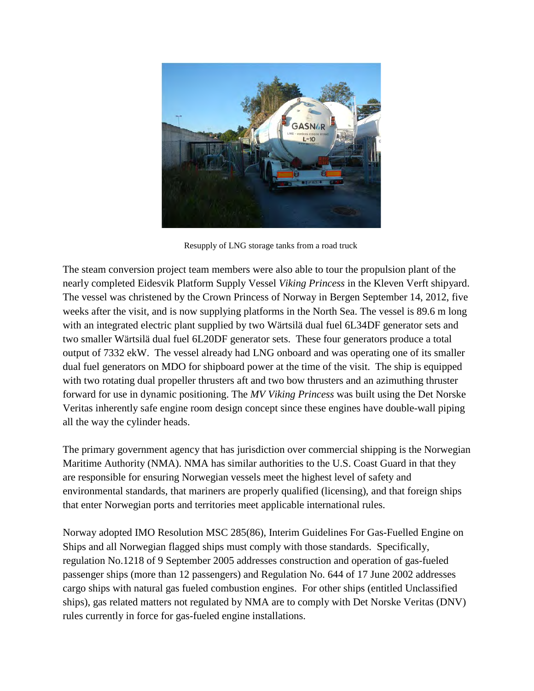

Resupply of LNG storage tanks from a road truck

The steam conversion project team members were also able to tour the propulsion plant of the nearly completed Eidesvik Platform Supply Vessel *Viking Princess* in the Kleven Verft shipyard. The vessel was christened by the Crown Princess of Norway in Bergen September 14, 2012, five weeks after the visit, and is now supplying platforms in the North Sea. The vessel is 89.6 m long with an integrated electric plant supplied by two Wärtsilä dual fuel 6L34DF generator sets and two smaller Wärtsilä dual fuel 6L20DF generator sets. These four generators produce a total output of 7332 ekW. The vessel already had LNG onboard and was operating one of its smaller dual fuel generators on MDO for shipboard power at the time of the visit. The ship is equipped with two rotating dual propeller thrusters aft and two bow thrusters and an azimuthing thruster forward for use in dynamic positioning. The *MV Viking Princess* was built using the Det Norske Veritas inherently safe engine room design concept since these engines have double-wall piping all the way the cylinder heads.

The primary government agency that has jurisdiction over commercial shipping is the Norwegian Maritime Authority (NMA). NMA has similar authorities to the U.S. Coast Guard in that they are responsible for ensuring Norwegian vessels meet the highest level of safety and environmental standards, that mariners are properly qualified (licensing), and that foreign ships that enter Norwegian ports and territories meet applicable international rules.

Norway adopted IMO Resolution MSC 285(86), Interim Guidelines For Gas-Fuelled Engine on Ships and all Norwegian flagged ships must comply with those standards. Specifically, regulation No.1218 of 9 September 2005 addresses construction and operation of gas-fueled passenger ships (more than 12 passengers) and Regulation No. 644 of 17 June 2002 addresses cargo ships with natural gas fueled combustion engines. For other ships (entitled Unclassified ships), gas related matters not regulated by NMA are to comply with Det Norske Veritas (DNV) rules currently in force for gas-fueled engine installations.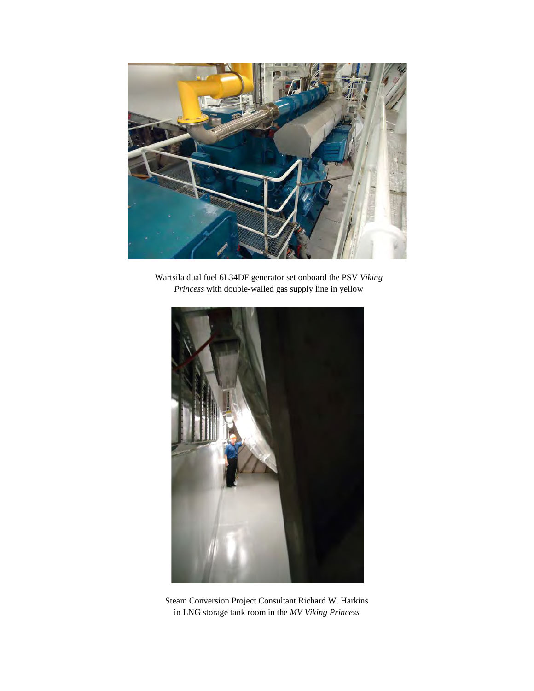

Wärtsilä dual fuel 6L34DF generator set onboard the PSV *Viking Princess* with double-walled gas supply line in yellow



Steam Conversion Project Consultant Richard W. Harkins in LNG storage tank room in the *MV Viking Princess*